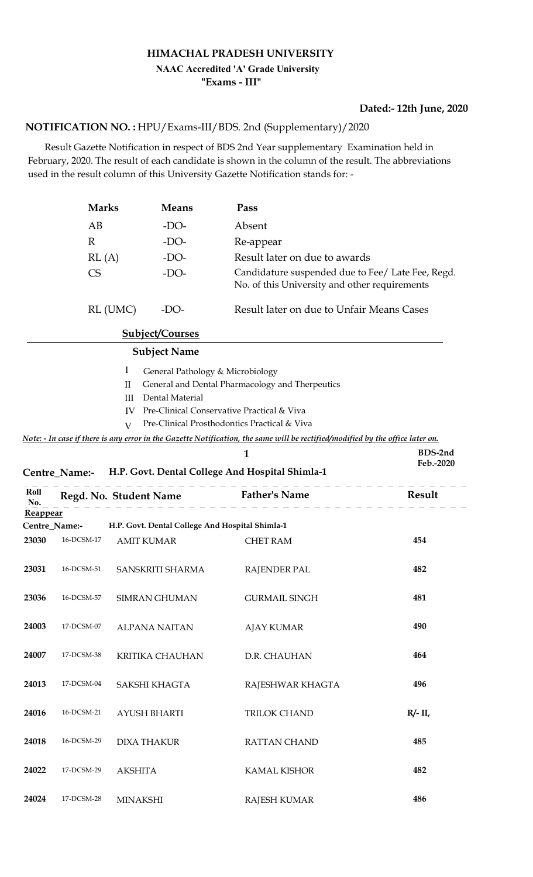#### HIMACHAL PRADESH UNIVERSITY

# NAAC Accredited 'A' Grade University

"Exams - III"

## Dated:- 12th June, 2020

#### NOTIFICATION NO.: HPU/Exams-III/BDS. 2nd (Supplementary)/2020

 Result Gazette Notification in respect of BDS 2nd Year supplementary Examination held in February, 2020. The result of each candidate is shown in the column of the result. The abbreviations used in the result column of this University Gazette Notification stands for: -

|                                  | <b>Marks</b>           |                                     | <b>Means</b>                                        | Pass                                                                                                                                                                                                                                                                            |                      |  |
|----------------------------------|------------------------|-------------------------------------|-----------------------------------------------------|---------------------------------------------------------------------------------------------------------------------------------------------------------------------------------------------------------------------------------------------------------------------------------|----------------------|--|
|                                  | AB                     |                                     | $-DO-$                                              | Absent                                                                                                                                                                                                                                                                          |                      |  |
|                                  | $\mathbb{R}$           |                                     | $-DO-$                                              | Re-appear                                                                                                                                                                                                                                                                       |                      |  |
|                                  | RL(A)                  |                                     | $-DO-$                                              | Result later on due to awards                                                                                                                                                                                                                                                   |                      |  |
|                                  | <b>CS</b>              |                                     | $-DO-$                                              | Candidature suspended due to Fee/ Late Fee, Regd.<br>No. of this University and other requirements                                                                                                                                                                              |                      |  |
|                                  |                        | RL (UMC)                            | $-DO-$                                              | Result later on due to Unfair Means Cases                                                                                                                                                                                                                                       |                      |  |
|                                  |                        |                                     | <b>Subject/Courses</b>                              |                                                                                                                                                                                                                                                                                 |                      |  |
|                                  |                        |                                     | <b>Subject Name</b>                                 |                                                                                                                                                                                                                                                                                 |                      |  |
|                                  |                        | 1<br>П<br>III<br>IV<br>$\mathbf{V}$ | General Pathology & Microbiology<br>Dental Material | General and Dental Pharmacology and Therpeutics<br>Pre-Clinical Conservative Practical & Viva<br>Pre-Clinical Prosthodontics Practical & Viva<br>Note: - In case if there is any error in the Gazette Notification, the same will be rectified/modified by the office later on. |                      |  |
|                                  |                        |                                     |                                                     | $\mathbf{1}$                                                                                                                                                                                                                                                                    | BDS-2nd<br>Feb.-2020 |  |
|                                  | <b>Centre_Name:-</b>   |                                     |                                                     | H.P. Govt. Dental College And Hospital Shimla-1                                                                                                                                                                                                                                 |                      |  |
| Roll<br>No.                      | Regd. No. Student Name |                                     |                                                     | <b>Father's Name</b>                                                                                                                                                                                                                                                            | Result               |  |
| <b>Reappear</b><br>Centre_Name:- |                        |                                     | H.P. Govt. Dental College And Hospital Shimla-1     |                                                                                                                                                                                                                                                                                 |                      |  |
| 23030                            | 16-DCSM-17             |                                     | <b>AMIT KUMAR</b>                                   | <b>CHET RAM</b>                                                                                                                                                                                                                                                                 | 454                  |  |
| 23031                            | 16-DCSM-51             |                                     | SANSKRITI SHARMA                                    | <b>RAJENDER PAL</b>                                                                                                                                                                                                                                                             | 482                  |  |
| 23036                            | 16-DCSM-57             |                                     | <b>SIMRAN GHUMAN</b>                                | <b>GURMAIL SINGH</b>                                                                                                                                                                                                                                                            | 481                  |  |
| 24003                            | 17-DCSM-07             |                                     | <b>ALPANA NAITAN</b>                                | <b>AJAY KUMAR</b>                                                                                                                                                                                                                                                               | 490                  |  |
| 24007                            | 17-DCSM-38             |                                     | KRITIKA CHAUHAN                                     | D.R. CHAUHAN                                                                                                                                                                                                                                                                    | 464                  |  |
| 24013                            | 17-DCSM-04             |                                     | SAKSHI KHAGTA                                       | RAJESHWAR KHAGTA                                                                                                                                                                                                                                                                | 496                  |  |
| 24016                            | 16-DCSM-21             |                                     | <b>AYUSH BHARTI</b>                                 | TRILOK CHAND                                                                                                                                                                                                                                                                    | $R/- II$ ,           |  |
| 24018                            | 16-DCSM-29             |                                     | <b>DIXA THAKUR</b>                                  | <b>RATTAN CHAND</b>                                                                                                                                                                                                                                                             | 485                  |  |
| 24022                            | 17-DCSM-29             | <b>AKSHITA</b>                      |                                                     | <b>KAMAL KISHOR</b>                                                                                                                                                                                                                                                             | 482                  |  |
| 24024                            | 17-DCSM-28             | <b>MINAKSHI</b>                     |                                                     | <b>RAJESH KUMAR</b>                                                                                                                                                                                                                                                             | 486                  |  |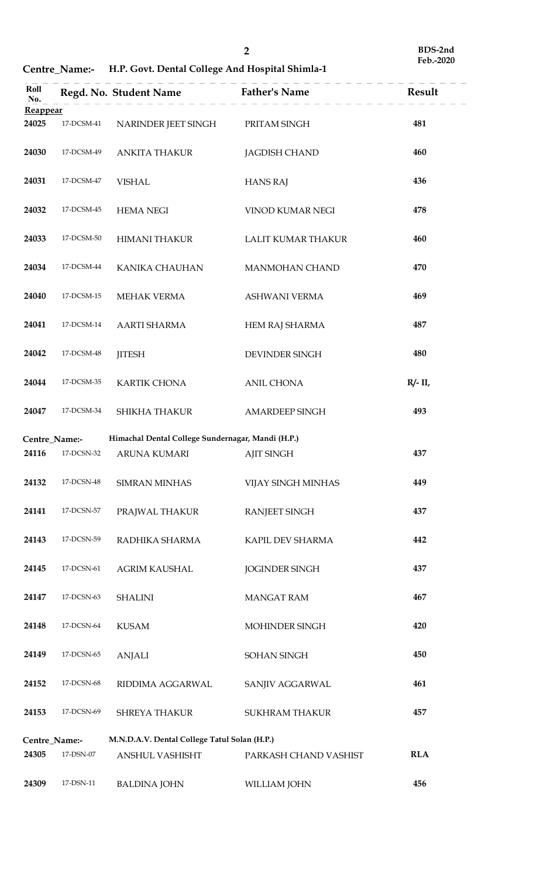Centre\_Name:- H.P. Govt. Dental College And Hospital Shimla-1

|                        | Centre_Name:-       | H.P. Govt. Dental College And Hospital Shimla-1                 | $\overline{2}$        | BDS-2nd<br>Feb.-2020 |
|------------------------|---------------------|-----------------------------------------------------------------|-----------------------|----------------------|
| Roll<br>No.            |                     | Regd. No. Student Name                                          | <b>Father's Name</b>  | Result               |
| Reappear<br>24025      | 17-DCSM-41          | NARINDER JEET SINGH                                             | PRITAM SINGH          | 481                  |
| 24030                  | 17-DCSM-49          | <b>ANKITA THAKUR</b>                                            | <b>JAGDISH CHAND</b>  | 460                  |
| 24031                  | 17-DCSM-47          | <b>VISHAL</b>                                                   | <b>HANS RAJ</b>       | 436                  |
| 24032                  | $17$ -DCSM-45       | <b>HEMA NEGI</b>                                                | VINOD KUMAR NEGI      | 478                  |
| 24033                  | 17-DCSM-50          | <b>HIMANI THAKUR</b>                                            | LALIT KUMAR THAKUR    | 460                  |
| 24034                  | 17-DCSM-44          | KANIKA CHAUHAN                                                  | <b>MANMOHAN CHAND</b> | 470                  |
| 24040                  | $17$ -DCSM- $15$    | MEHAK VERMA                                                     | ASHWANI VERMA         | 469                  |
| 24041                  | 17-DCSM-14          | AARTI SHARMA                                                    | HEM RAJ SHARMA        | 487                  |
| 24042                  | 17-DCSM-48          | <b>JITESH</b>                                                   | DEVINDER SINGH        | 480                  |
| 24044                  | $17\mbox{-DCSM-35}$ | KARTIK CHONA                                                    | ANIL CHONA            | $R/- II$ ,           |
| 24047                  | 17-DCSM-34          | SHIKHA THAKUR                                                   | AMARDEEP SINGH        | 493                  |
| Centre_Name:-<br>24116 | 17-DCSN-32          | Himachal Dental College Sundernagar, Mandi (H.P.)               |                       | 437                  |
| 24132                  | $17$ -DCSN-48 $\,$  | ARUNA KUMARI                                                    | <b>AJIT SINGH</b>     | 449                  |
| 24141                  | 17-DCSN-57          | SIMRAN MINHAS                                                   | VIJAY SINGH MINHAS    | 437                  |
| 24143                  | 17-DCSN-59          | PRAJWAL THAKUR                                                  | <b>RANJEET SINGH</b>  | 442                  |
| 24145                  | 17-DCSN-61          | RADHIKA SHARMA                                                  | KAPIL DEV SHARMA      | 437                  |
| 24147                  | 17-DCSN-63          | <b>AGRIM KAUSHAL</b><br><b>SHALINI</b>                          | <b>JOGINDER SINGH</b> | 467                  |
| 24148                  | 17-DCSN-64          | <b>KUSAM</b>                                                    | MANGAT RAM            | 420                  |
| 24149                  | 17-DCSN-65          |                                                                 | MOHINDER SINGH        | 450                  |
| 24152                  | 17-DCSN-68          | ANJALI                                                          | SOHAN SINGH           | 461                  |
|                        | 17-DCSN-69          | RIDDIMA AGGARWAL                                                | SANJIV AGGARWAL       |                      |
| 24153                  |                     | SHREYA THAKUR                                                   | SUKHRAM THAKUR        | 457                  |
| Centre_Name:-<br>24305 | 17-DSN-07           | M.N.D.A.V. Dental College Tatul Solan (H.P.)<br>ANSHUL VASHISHT | PARKASH CHAND VASHIST | <b>RLA</b>           |
| 24309                  | 17-DSN-11           | <b>BALDINA JOHN</b>                                             | WILLIAM JOHN          | 456                  |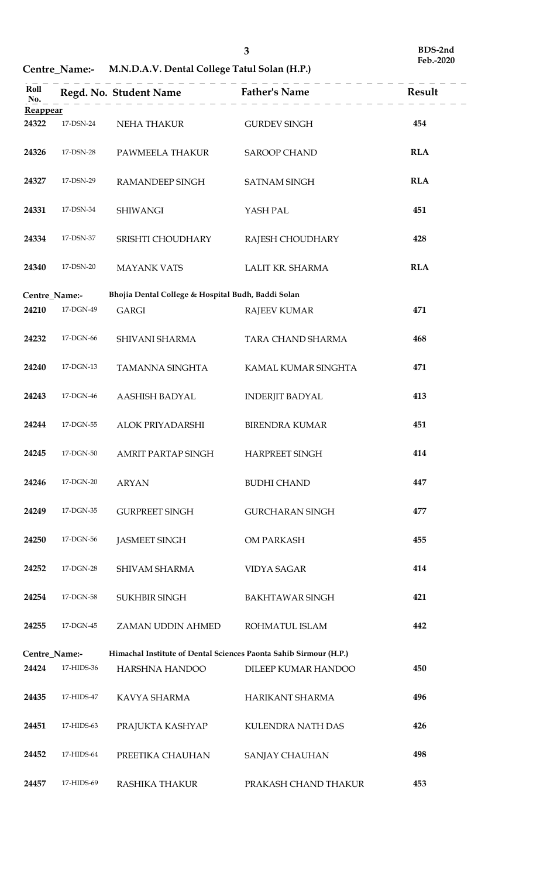|                   | Centre_Name:- | M.N.D.A.V. Dental College Tatul Solan (H.P.)                      | $\mathbf{3}$           | BDS-2nd<br>Feb.-2020 |
|-------------------|---------------|-------------------------------------------------------------------|------------------------|----------------------|
| Roll<br>No.       |               | Regd. No. Student Name                                            | <b>Father's Name</b>   | Result               |
| Reappear<br>24322 | 17-DSN-24     | NEHA THAKUR                                                       | <b>GURDEV SINGH</b>    | 454                  |
|                   |               |                                                                   |                        |                      |
| 24326             | 17-DSN-28     | PAWMEELA THAKUR                                                   | <b>SAROOP CHAND</b>    | <b>RLA</b>           |
| 24327             | 17-DSN-29     | RAMANDEEP SINGH                                                   | <b>SATNAM SINGH</b>    | <b>RLA</b>           |
| 24331             | 17-DSN-34     | <b>SHIWANGI</b>                                                   | YASH PAL               | 451                  |
| 24334             | 17-DSN-37     | SRISHTI CHOUDHARY                                                 | RAJESH CHOUDHARY       | 428                  |
| 24340             | 17-DSN-20     | <b>MAYANK VATS</b>                                                | LALIT KR. SHARMA       | <b>RLA</b>           |
|                   | Centre_Name:- | Bhojia Dental College & Hospital Budh, Baddi Solan                |                        |                      |
| 24210             | 17-DGN-49     | GARGI                                                             | <b>RAJEEV KUMAR</b>    | 471                  |
| 24232             | 17-DGN-66     | SHIVANI SHARMA                                                    | TARA CHAND SHARMA      | 468                  |
| 24240             | 17-DGN-13     | TAMANNA SINGHTA                                                   | KAMAL KUMAR SINGHTA    | 471                  |
| 24243             | 17-DGN-46     | AASHISH BADYAL                                                    | <b>INDERJIT BADYAL</b> | 413                  |
| 24244             | 17-DGN-55     | ALOK PRIYADARSHI                                                  | <b>BIRENDRA KUMAR</b>  | 451                  |
| 24245             | 17-DGN-50     | AMRIT PARTAP SINGH                                                | HARPREET SINGH         | 414                  |
| 24246             | 17-DGN-20     | <b>ARYAN</b>                                                      | <b>BUDHI CHAND</b>     | 447                  |
| 24249             | 17-DGN-35     | <b>GURPREET SINGH</b>                                             | <b>GURCHARAN SINGH</b> | 477                  |
| 24250             | 17-DGN-56     | <b>JASMEET SINGH</b>                                              | OM PARKASH             | 455                  |
|                   |               |                                                                   |                        |                      |
| 24252             | 17-DGN-28     | SHIVAM SHARMA                                                     | <b>VIDYA SAGAR</b>     | 414                  |
| 24254             | 17-DGN-58     | SUKHBIR SINGH                                                     | <b>BAKHTAWAR SINGH</b> | 421                  |
| 24255             | 17-DGN-45     | ZAMAN UDDIN AHMED                                                 | ROHMATUL ISLAM         | 442                  |
|                   | Centre_Name:- | Himachal Institute of Dental Sciences Paonta Sahib Sirmour (H.P.) |                        |                      |
| 24424             | 17-HIDS-36    | HARSHNA HANDOO                                                    | DILEEP KUMAR HANDOO    | 450                  |
| 24435             | 17-HIDS-47    | KAVYA SHARMA                                                      | HARIKANT SHARMA        | 496                  |
| 24451             | 17-HIDS-63    | PRAJUKTA KASHYAP                                                  | KULENDRA NATH DAS      | 426                  |
| 24452             | 17-HIDS-64    | PREETIKA CHAUHAN                                                  | SANJAY CHAUHAN         | 498                  |
|                   | 17-HIDS-69    | RASHIKA THAKUR                                                    | PRAKASH CHAND THAKUR   | 453                  |